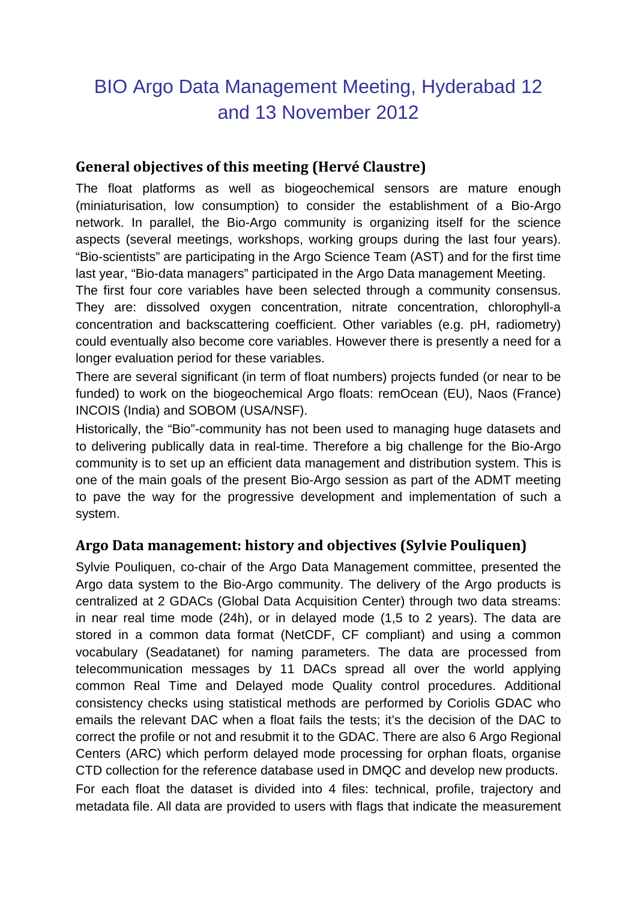# BIO Argo Data Management Meeting, Hyderabad 12 and 13 November 2012

#### **General objectives of this meeting (Hervé Claustre)**

The float platforms as well as biogeochemical sensors are mature enough (miniaturisation, low consumption) to consider the establishment of a Bio-Argo network. In parallel, the Bio-Argo community is organizing itself for the science aspects (several meetings, workshops, working groups during the last four years). "Bio-scientists" are participating in the Argo Science Team (AST) and for the first time last year, "Bio-data managers" participated in the Argo Data management Meeting.

The first four core variables have been selected through a community consensus. They are: dissolved oxygen concentration, nitrate concentration, chlorophyll-a concentration and backscattering coefficient. Other variables (e.g. pH, radiometry) could eventually also become core variables. However there is presently a need for a longer evaluation period for these variables.

There are several significant (in term of float numbers) projects funded (or near to be funded) to work on the biogeochemical Argo floats: remOcean (EU), Naos (France) INCOIS (India) and SOBOM (USA/NSF).

Historically, the "Bio"-community has not been used to managing huge datasets and to delivering publically data in real-time. Therefore a big challenge for the Bio-Argo community is to set up an efficient data management and distribution system. This is one of the main goals of the present Bio-Argo session as part of the ADMT meeting to pave the way for the progressive development and implementation of such a system.

#### **Argo Data management: history and objectives (Sylvie Pouliquen)**

Sylvie Pouliquen, co-chair of the Argo Data Management committee, presented the Argo data system to the Bio-Argo community. The delivery of the Argo products is centralized at 2 GDACs (Global Data Acquisition Center) through two data streams: in near real time mode (24h), or in delayed mode (1,5 to 2 years). The data are stored in a common data format (NetCDF, CF compliant) and using a common vocabulary (Seadatanet) for naming parameters. The data are processed from telecommunication messages by 11 DACs spread all over the world applying common Real Time and Delayed mode Quality control procedures. Additional consistency checks using statistical methods are performed by Coriolis GDAC who emails the relevant DAC when a float fails the tests; it's the decision of the DAC to correct the profile or not and resubmit it to the GDAC. There are also 6 Argo Regional Centers (ARC) which perform delayed mode processing for orphan floats, organise CTD collection for the reference database used in DMQC and develop new products. For each float the dataset is divided into 4 files: technical, profile, trajectory and

metadata file. All data are provided to users with flags that indicate the measurement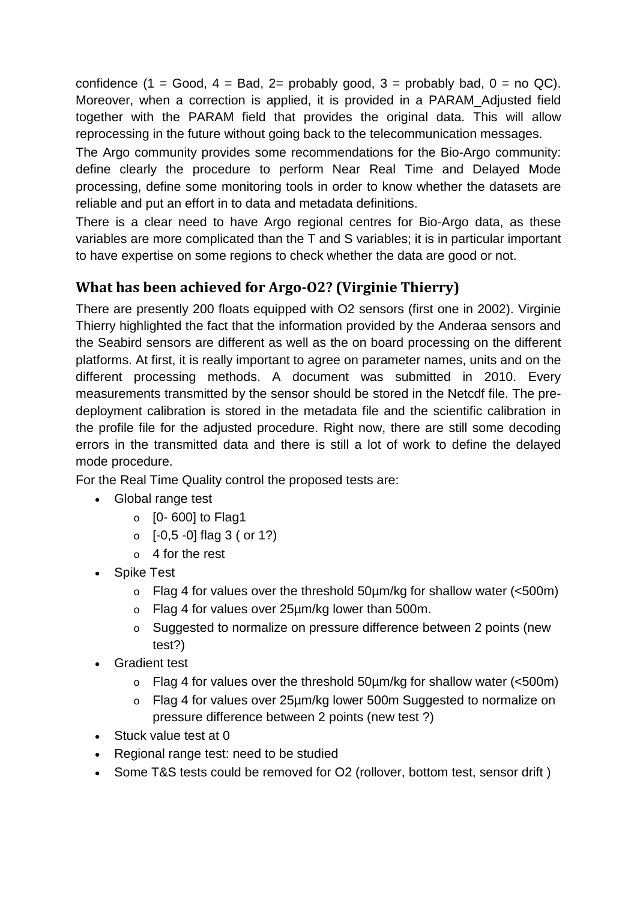confidence (1 = Good, 4 = Bad, 2= probably good, 3 = probably bad,  $0 =$  no QC). Moreover, when a correction is applied, it is provided in a PARAM\_Adjusted field together with the PARAM field that provides the original data. This will allow reprocessing in the future without going back to the telecommunication messages.

The Argo community provides some recommendations for the Bio-Argo community: define clearly the procedure to perform Near Real Time and Delayed Mode processing, define some monitoring tools in order to know whether the datasets are reliable and put an effort in to data and metadata definitions.

There is a clear need to have Argo regional centres for Bio-Argo data, as these variables are more complicated than the T and S variables; it is in particular important to have expertise on some regions to check whether the data are good or not.

#### **What has been achieved for Argo-O2? (Virginie Thierry)**

There are presently 200 floats equipped with O2 sensors (first one in 2002). Virginie Thierry highlighted the fact that the information provided by the Anderaa sensors and the Seabird sensors are different as well as the on board processing on the different platforms. At first, it is really important to agree on parameter names, units and on the different processing methods. A document was submitted in 2010. Every measurements transmitted by the sensor should be stored in the Netcdf file. The predeployment calibration is stored in the metadata file and the scientific calibration in the profile file for the adjusted procedure. Right now, there are still some decoding errors in the transmitted data and there is still a lot of work to define the delayed mode procedure.

For the Real Time Quality control the proposed tests are:

- Global range test
	- $\circ$  [0-600] to Flag1
	- $\circ$  [-0,5 -0] flag 3 ( or 1?)
	- o 4 for the rest
- Spike Test
	- $\circ$  Flag 4 for values over the threshold 50 µm/kg for shallow water (<500m)
	- o Flag 4 for values over 25µm/kg lower than 500m.
	- o Suggested to normalize on pressure difference between 2 points (new test?)
- Gradient test
	- $\circ$  Flag 4 for values over the threshold 50  $\mu$ m/kg for shallow water (<500m)
	- o Flag 4 for values over 25µm/kg lower 500m Suggested to normalize on pressure difference between 2 points (new test ?)
- Stuck value test at 0
- Regional range test: need to be studied
- Some T&S tests could be removed for O2 (rollover, bottom test, sensor drift)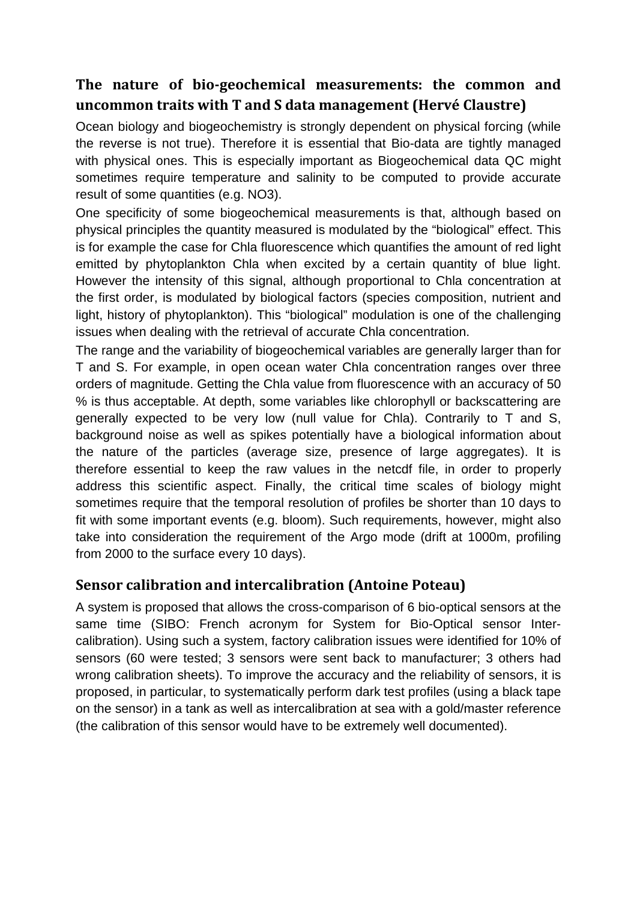### **The nature of bio-geochemical measurements: the common and uncommon traits with T and S data management (Hervé Claustre)**

Ocean biology and biogeochemistry is strongly dependent on physical forcing (while the reverse is not true). Therefore it is essential that Bio-data are tightly managed with physical ones. This is especially important as Biogeochemical data QC might sometimes require temperature and salinity to be computed to provide accurate result of some quantities (e.g. NO3).

One specificity of some biogeochemical measurements is that, although based on physical principles the quantity measured is modulated by the "biological" effect. This is for example the case for Chla fluorescence which quantifies the amount of red light emitted by phytoplankton Chla when excited by a certain quantity of blue light. However the intensity of this signal, although proportional to Chla concentration at the first order, is modulated by biological factors (species composition, nutrient and light, history of phytoplankton). This "biological" modulation is one of the challenging issues when dealing with the retrieval of accurate Chla concentration.

The range and the variability of biogeochemical variables are generally larger than for T and S. For example, in open ocean water Chla concentration ranges over three orders of magnitude. Getting the Chla value from fluorescence with an accuracy of 50 % is thus acceptable. At depth, some variables like chlorophyll or backscattering are generally expected to be very low (null value for Chla). Contrarily to T and S, background noise as well as spikes potentially have a biological information about the nature of the particles (average size, presence of large aggregates). It is therefore essential to keep the raw values in the netcdf file, in order to properly address this scientific aspect. Finally, the critical time scales of biology might sometimes require that the temporal resolution of profiles be shorter than 10 days to fit with some important events (e.g. bloom). Such requirements, however, might also take into consideration the requirement of the Argo mode (drift at 1000m, profiling from 2000 to the surface every 10 days).

#### **Sensor calibration and intercalibration (Antoine Poteau)**

A system is proposed that allows the cross-comparison of 6 bio-optical sensors at the same time (SIBO: French acronym for System for Bio-Optical sensor Intercalibration). Using such a system, factory calibration issues were identified for 10% of sensors (60 were tested; 3 sensors were sent back to manufacturer; 3 others had wrong calibration sheets). To improve the accuracy and the reliability of sensors, it is proposed, in particular, to systematically perform dark test profiles (using a black tape on the sensor) in a tank as well as intercalibration at sea with a gold/master reference (the calibration of this sensor would have to be extremely well documented).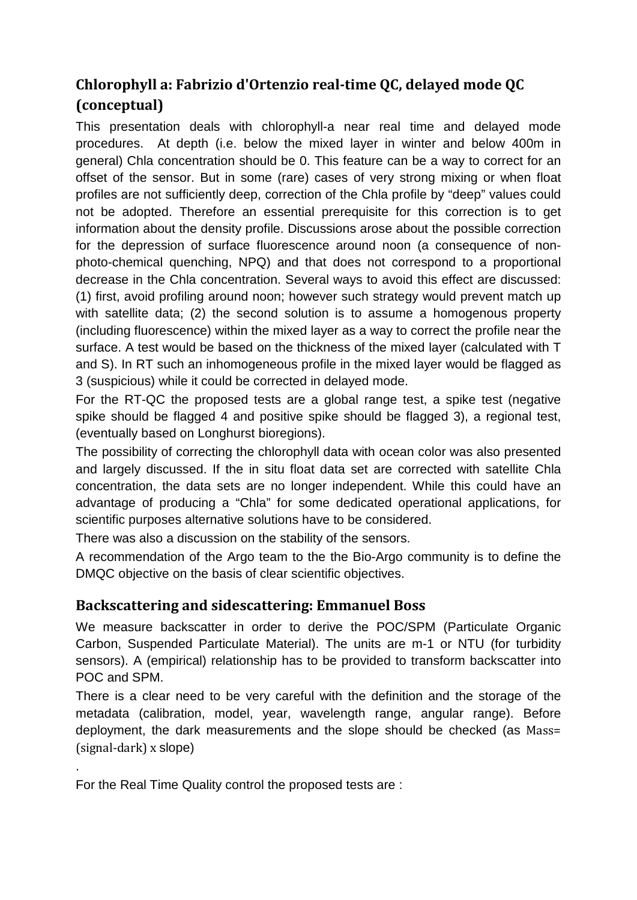# **Chlorophyll a: Fabrizio d'Ortenzio real-time QC, delayed mode QC (conceptual)**

This presentation deals with chlorophyll-a near real time and delayed mode procedures. At depth (i.e. below the mixed layer in winter and below 400m in general) Chla concentration should be 0. This feature can be a way to correct for an offset of the sensor. But in some (rare) cases of very strong mixing or when float profiles are not sufficiently deep, correction of the Chla profile by "deep" values could not be adopted. Therefore an essential prerequisite for this correction is to get information about the density profile. Discussions arose about the possible correction for the depression of surface fluorescence around noon (a consequence of nonphoto-chemical quenching, NPQ) and that does not correspond to a proportional decrease in the Chla concentration. Several ways to avoid this effect are discussed: (1) first, avoid profiling around noon; however such strategy would prevent match up with satellite data; (2) the second solution is to assume a homogenous property (including fluorescence) within the mixed layer as a way to correct the profile near the surface. A test would be based on the thickness of the mixed layer (calculated with T and S). In RT such an inhomogeneous profile in the mixed layer would be flagged as 3 (suspicious) while it could be corrected in delayed mode.

For the RT-QC the proposed tests are a global range test, a spike test (negative spike should be flagged 4 and positive spike should be flagged 3), a regional test, (eventually based on Longhurst bioregions).

The possibility of correcting the chlorophyll data with ocean color was also presented and largely discussed. If the in situ float data set are corrected with satellite Chla concentration, the data sets are no longer independent. While this could have an advantage of producing a "Chla" for some dedicated operational applications, for scientific purposes alternative solutions have to be considered.

There was also a discussion on the stability of the sensors.

A recommendation of the Argo team to the the Bio-Argo community is to define the DMQC objective on the basis of clear scientific objectives.

#### **Backscattering and sidescattering: Emmanuel Boss**

We measure backscatter in order to derive the POC/SPM (Particulate Organic Carbon, Suspended Particulate Material). The units are m-1 or NTU (for turbidity sensors). A (empirical) relationship has to be provided to transform backscatter into POC and SPM.

There is a clear need to be very careful with the definition and the storage of the metadata (calibration, model, year, wavelength range, angular range). Before deployment, the dark measurements and the slope should be checked (as Mass= (signal-dark) x slope)

For the Real Time Quality control the proposed tests are :

.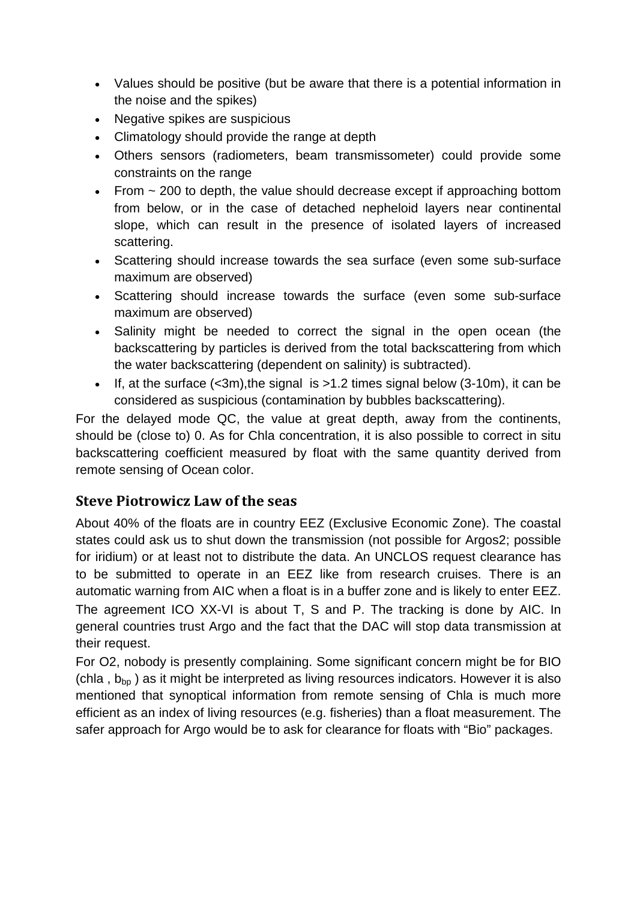- Values should be positive (but be aware that there is a potential information in the noise and the spikes)
- Negative spikes are suspicious
- Climatology should provide the range at depth
- Others sensors (radiometers, beam transmissometer) could provide some constraints on the range
- From  $\sim$  200 to depth, the value should decrease except if approaching bottom from below, or in the case of detached nepheloid layers near continental slope, which can result in the presence of isolated layers of increased scattering.
- Scattering should increase towards the sea surface (even some sub-surface maximum are observed)
- Scattering should increase towards the surface (even some sub-surface maximum are observed)
- Salinity might be needed to correct the signal in the open ocean (the backscattering by particles is derived from the total backscattering from which the water backscattering (dependent on salinity) is subtracted).
- If, at the surface  $( $3m$ ), the signal is  $>1.2$  times signal below  $(3-10m)$ , it can be$ considered as suspicious (contamination by bubbles backscattering).

For the delayed mode QC, the value at great depth, away from the continents, should be (close to) 0. As for Chla concentration, it is also possible to correct in situ backscattering coefficient measured by float with the same quantity derived from remote sensing of Ocean color.

#### **Steve Piotrowicz Law of the seas**

About 40% of the floats are in country EEZ (Exclusive Economic Zone). The coastal states could ask us to shut down the transmission (not possible for Argos2; possible for iridium) or at least not to distribute the data. An UNCLOS request clearance has to be submitted to operate in an EEZ like from research cruises. There is an automatic warning from AIC when a float is in a buffer zone and is likely to enter EEZ. The agreement ICO XX-VI is about T, S and P. The tracking is done by AIC. In general countries trust Argo and the fact that the DAC will stop data transmission at their request.

For O2, nobody is presently complaining. Some significant concern might be for BIO (chla,  $b_{\text{bo}}$ ) as it might be interpreted as living resources indicators. However it is also mentioned that synoptical information from remote sensing of Chla is much more efficient as an index of living resources (e.g. fisheries) than a float measurement. The safer approach for Argo would be to ask for clearance for floats with "Bio" packages.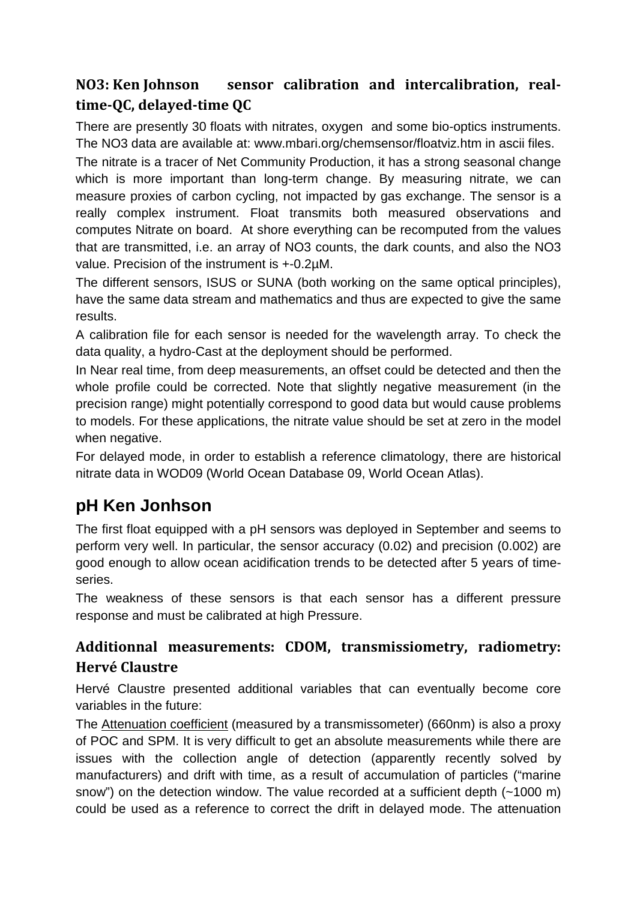# **NO3: Ken Johnson sensor calibration and intercalibration, realtime-QC, delayed-time QC**

There are presently 30 floats with nitrates, oxygen and some bio-optics instruments. The NO3 data are available at: www.mbari.org/chemsensor/floatviz.htm in ascii files.

The nitrate is a tracer of Net Community Production, it has a strong seasonal change which is more important than long-term change. By measuring nitrate, we can measure proxies of carbon cycling, not impacted by gas exchange. The sensor is a really complex instrument. Float transmits both measured observations and computes Nitrate on board. At shore everything can be recomputed from the values that are transmitted, i.e. an array of NO3 counts, the dark counts, and also the NO3 value. Precision of the instrument is +-0.2µM.

The different sensors, ISUS or SUNA (both working on the same optical principles), have the same data stream and mathematics and thus are expected to give the same results.

A calibration file for each sensor is needed for the wavelength array. To check the data quality, a hydro-Cast at the deployment should be performed.

In Near real time, from deep measurements, an offset could be detected and then the whole profile could be corrected. Note that slightly negative measurement (in the precision range) might potentially correspond to good data but would cause problems to models. For these applications, the nitrate value should be set at zero in the model when negative.

For delayed mode, in order to establish a reference climatology, there are historical nitrate data in WOD09 (World Ocean Database 09, World Ocean Atlas).

# **pH Ken Jonhson**

The first float equipped with a pH sensors was deployed in September and seems to perform very well. In particular, the sensor accuracy (0.02) and precision (0.002) are good enough to allow ocean acidification trends to be detected after 5 years of timeseries.

The weakness of these sensors is that each sensor has a different pressure response and must be calibrated at high Pressure.

# **Additionnal measurements: CDOM, transmissiometry, radiometry: Hervé Claustre**

Hervé Claustre presented additional variables that can eventually become core variables in the future:

The Attenuation coefficient (measured by a transmissometer) (660nm) is also a proxy of POC and SPM. It is very difficult to get an absolute measurements while there are issues with the collection angle of detection (apparently recently solved by manufacturers) and drift with time, as a result of accumulation of particles ("marine snow") on the detection window. The value recorded at a sufficient depth (~1000 m) could be used as a reference to correct the drift in delayed mode. The attenuation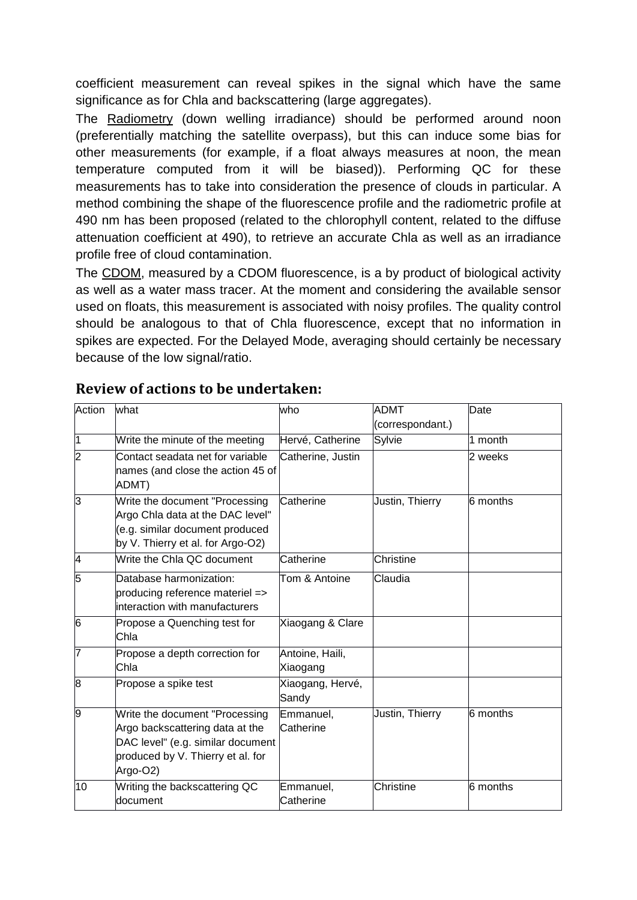coefficient measurement can reveal spikes in the signal which have the same significance as for Chla and backscattering (large aggregates).

The Radiometry (down welling irradiance) should be performed around noon (preferentially matching the satellite overpass), but this can induce some bias for other measurements (for example, if a float always measures at noon, the mean temperature computed from it will be biased)). Performing QC for these measurements has to take into consideration the presence of clouds in particular. A method combining the shape of the fluorescence profile and the radiometric profile at 490 nm has been proposed (related to the chlorophyll content, related to the diffuse attenuation coefficient at 490), to retrieve an accurate Chla as well as an irradiance profile free of cloud contamination.

The CDOM, measured by a CDOM fluorescence, is a by product of biological activity as well as a water mass tracer. At the moment and considering the available sensor used on floats, this measurement is associated with noisy profiles. The quality control should be analogous to that of Chla fluorescence, except that no information in spikes are expected. For the Delayed Mode, averaging should certainly be necessary because of the low signal/ratio.

| Action         | what                                                                                                                                                    | who                         | ADMT<br>(correspondant.) | Date     |
|----------------|---------------------------------------------------------------------------------------------------------------------------------------------------------|-----------------------------|--------------------------|----------|
| 1              | Write the minute of the meeting                                                                                                                         | Hervé, Catherine            | Sylvie                   | 1 month  |
| $\overline{2}$ | Contact seadata net for variable<br>names (and close the action 45 of<br>ADMT)                                                                          | Catherine, Justin           |                          | 2 weeks  |
| 3              | Write the document "Processing<br>Argo Chla data at the DAC level"<br>(e.g. similar document produced<br>by V. Thierry et al. for Argo-O2)              | Catherine                   | Justin, Thierry          | 6 months |
| 4              | Write the Chla QC document                                                                                                                              | Catherine                   | Christine                |          |
| 5              | Database harmonization:<br>producing reference materiel =><br>interaction with manufacturers                                                            | Tom & Antoine               | Claudia                  |          |
| 6              | Propose a Quenching test for<br>Chla                                                                                                                    | Xiaogang & Clare            |                          |          |
| 7              | Propose a depth correction for<br>Chla                                                                                                                  | Antoine, Haili,<br>Xiaogang |                          |          |
| 8              | Propose a spike test                                                                                                                                    | Xiaogang, Hervé,<br>Sandy   |                          |          |
| 9              | Write the document "Processing<br>Argo backscattering data at the<br>DAC level" (e.g. similar document<br>produced by V. Thierry et al. for<br>Argo-O2) | Emmanuel,<br>Catherine      | Justin, Thierry          | 6 months |
| 10             | Writing the backscattering QC<br>document                                                                                                               | Emmanuel,<br>Catherine      | Christine                | 6 months |

#### **Review of actions to be undertaken:**